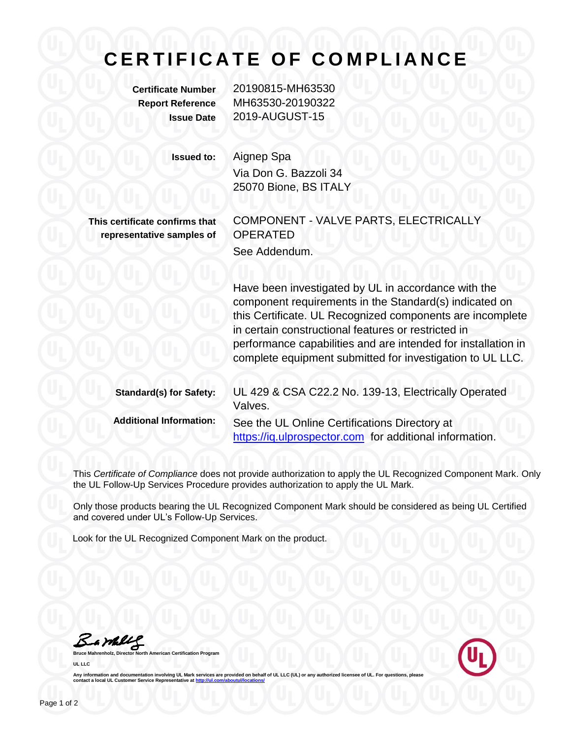## **C E R T I F I C A T E O F C O M P L I A N C E**

**Certificate Number** 20190815-MH63530 **Report Reference** MH63530-20190322 **Issue Date** 2019-AUGUST-15

**Issued to:** Aignep Spa

Via Don G. Bazzoli 34 25070 Bione, BS ITALY

**This certificate confirms that representative samples of** COMPONENT - VALVE PARTS, ELECTRICALLY OPERATED See Addendum.

Have been investigated by UL in accordance with the component requirements in the Standard(s) indicated on this Certificate. UL Recognized components are incomplete in certain constructional features or restricted in performance capabilities and are intended for installation in complete equipment submitted for investigation to UL LLC.

| <b>Standard(s) for Safety:</b> | UL 429 & CSA C22.2 No. 139-13, Electrically Operated<br>Valves.                                          |
|--------------------------------|----------------------------------------------------------------------------------------------------------|
| <b>Additional Information:</b> | See the UL Online Certifications Directory at<br>https://iq.ulprospector.com for additional information. |

This *Certificate of Compliance* does not provide authorization to apply the UL Recognized Component Mark. Only the UL Follow-Up Services Procedure provides authorization to apply the UL Mark.

Only those products bearing the UL Recognized Component Mark should be considered as being UL Certified and covered under UL's Follow-Up Services.

Look for the UL Recognized Component Mark on the product.

Bample

**Bruce Mannest Certification Program UL LLC**



Any information and documentation involving UL Mark services are provided on behalf of UL LLC (UL) or any authorized licensee of UL. For questions, please<br>contact a local UL Customer Service Representative at <u>http://ul.co</u>